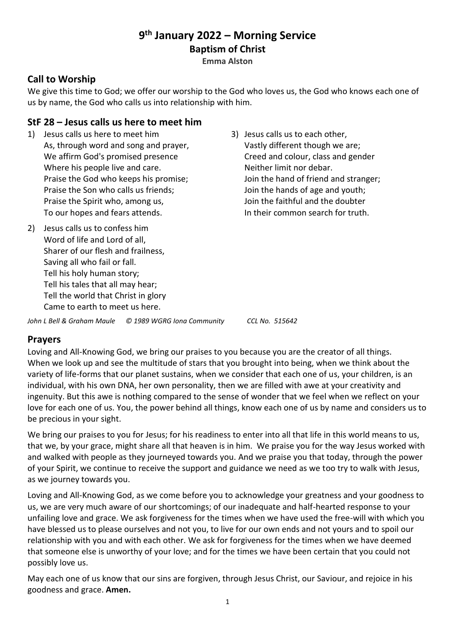# **9 th January 2022 – Morning Service Baptism of Christ**

**Emma Alston**

# **Call to Worship**

We give this time to God; we offer our worship to the God who loves us, the God who knows each one of us by name, the God who calls us into relationship with him.

#### **StF 28 – Jesus calls us here to meet him**

- 1) Jesus calls us here to meet him As, through word and song and prayer, We affirm God's promised presence Where his people live and care. Praise the God who keeps his promise; Praise the Son who calls us friends; Praise the Spirit who, among us, To our hopes and fears attends.
- 2) Jesus calls us to confess him Word of life and Lord of all, Sharer of our flesh and frailness, Saving all who fail or fall. Tell his holy human story; Tell his tales that all may hear; Tell the world that Christ in glory Came to earth to meet us here.
- 3) Jesus calls us to each other, Vastly different though we are; Creed and colour, class and gender Neither limit nor debar. Join the hand of friend and stranger; Join the hands of age and youth; Join the faithful and the doubter In their common search for truth.

*John L Bell & Graham Maule © 1989 WGRG Iona Community CCL No. 515642*

#### **Prayers**

Loving and All-Knowing God, we bring our praises to you because you are the creator of all things. When we look up and see the multitude of stars that you brought into being, when we think about the variety of life-forms that our planet sustains, when we consider that each one of us, your children, is an individual, with his own DNA, her own personality, then we are filled with awe at your creativity and ingenuity. But this awe is nothing compared to the sense of wonder that we feel when we reflect on your love for each one of us. You, the power behind all things, know each one of us by name and considers us to be precious in your sight.

We bring our praises to you for Jesus; for his readiness to enter into all that life in this world means to us, that we, by your grace, might share all that heaven is in him. We praise you for the way Jesus worked with and walked with people as they journeyed towards you. And we praise you that today, through the power of your Spirit, we continue to receive the support and guidance we need as we too try to walk with Jesus, as we journey towards you.

Loving and All-Knowing God, as we come before you to acknowledge your greatness and your goodness to us, we are very much aware of our shortcomings; of our inadequate and half-hearted response to your unfailing love and grace. We ask forgiveness for the times when we have used the free-will with which you have blessed us to please ourselves and not you, to live for our own ends and not yours and to spoil our relationship with you and with each other. We ask for forgiveness for the times when we have deemed that someone else is unworthy of your love; and for the times we have been certain that you could not possibly love us.

May each one of us know that our sins are forgiven, through Jesus Christ, our Saviour, and rejoice in his goodness and grace. **Amen.**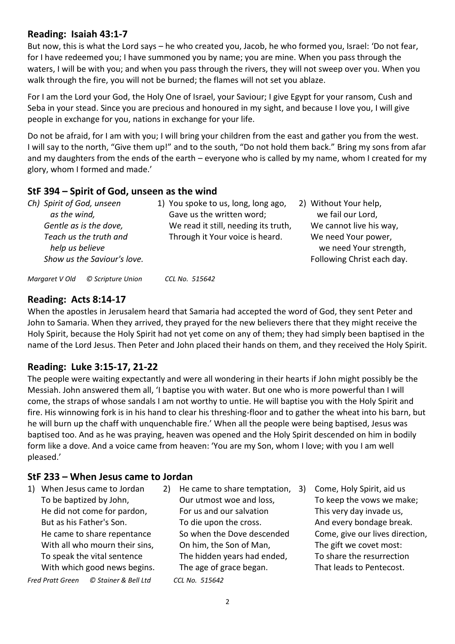#### **Reading: Isaiah 43:1-7**

But now, this is what the Lord says – he who created you, Jacob, he who formed you, Israel: 'Do not fear, for I have redeemed you; I have summoned you by name; you are mine. When you pass through the waters, I will be with you; and when you pass through the rivers, they will not sweep over you. When you walk through the fire, you will not be burned; the flames will not set you ablaze.

For I am the Lord your God, the Holy One of Israel, your Saviour; I give Egypt for your ransom, Cush and Seba in your stead. Since you are precious and honoured in my sight, and because I love you, I will give people in exchange for you, nations in exchange for your life.

Do not be afraid, for I am with you; I will bring your children from the east and gather you from the west. I will say to the north, "Give them up!" and to the south, "Do not hold them back." Bring my sons from afar and my daughters from the ends of the earth – everyone who is called by my name, whom I created for my glory, whom I formed and made.'

# **StF 394 – Spirit of God, unseen as the wind**

| Ch) Spirit of God, unseen<br>as the wind, |                   | 1) You spoke to us, long, long ago,<br>Gave us the written word; | 2) Without Your help,<br>we fail our Lord,    |
|-------------------------------------------|-------------------|------------------------------------------------------------------|-----------------------------------------------|
| Gentle as is the dove,                    |                   | We read it still, needing its truth,                             | We cannot live his way,                       |
| Teach us the truth and<br>help us believe |                   | Through it Your voice is heard.                                  | We need Your power,<br>we need Your strength, |
| Show us the Saviour's love.               |                   |                                                                  | Following Christ each day.                    |
| Margaret V Old                            | © Scripture Union | CCL No. 515642                                                   |                                               |

# **Reading: Acts 8:14-17**

When the apostles in Jerusalem heard that Samaria had accepted the word of God, they sent Peter and John to Samaria. When they arrived, they prayed for the new believers there that they might receive the Holy Spirit, because the Holy Spirit had not yet come on any of them; they had simply been baptised in the name of the Lord Jesus. Then Peter and John placed their hands on them, and they received the Holy Spirit.

# **Reading: Luke 3:15-17, 21-22**

The people were waiting expectantly and were all wondering in their hearts if John might possibly be the Messiah. John answered them all, 'I baptise you with water. But one who is more powerful than I will come, the straps of whose sandals I am not worthy to untie. He will baptise you with the Holy Spirit and fire. His winnowing fork is in his hand to clear his threshing-floor and to gather the wheat into his barn, but he will burn up the chaff with unquenchable fire.' When all the people were being baptised, Jesus was baptised too. And as he was praying, heaven was opened and the Holy Spirit descended on him in bodily form like a dove. And a voice came from heaven: 'You are my Son, whom I love; with you I am well pleased.'

# **StF 233 – When Jesus came to Jordan**

1) When Jesus came to Jordan To be baptized by John, He did not come for pardon, But as his Father's Son. He came to share repentance With all who mourn their sins, To speak the vital sentence With which good news begins.

*Fred Pratt Green © Stainer & Bell Ltd CCL No. 515642*

2) He came to share temptation, 3) Our utmost woe and loss, For us and our salvation To die upon the cross. So when the Dove descended On him, the Son of Man, The hidden years had ended, The age of grace began.

3) Come, Holy Spirit, aid us To keep the vows we make; This very day invade us, And every bondage break. Come, give our lives direction, The gift we covet most: To share the resurrection That leads to Pentecost.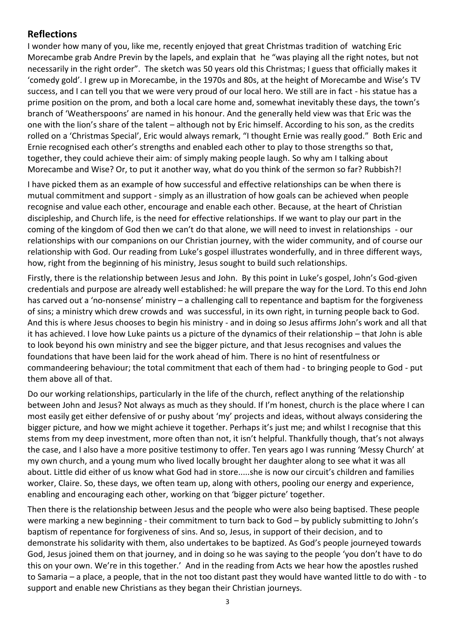#### **Reflections**

I wonder how many of you, like me, recently enjoyed that great Christmas tradition of watching Eric Morecambe grab Andre Previn by the lapels, and explain that he "was playing all the right notes, but not necessarily in the right order". The sketch was 50 years old this Christmas; I guess that officially makes it 'comedy gold'. I grew up in Morecambe, in the 1970s and 80s, at the height of Morecambe and Wise's TV success, and I can tell you that we were very proud of our local hero. We still are in fact - his statue has a prime position on the prom, and both a local care home and, somewhat inevitably these days, the town's branch of 'Weatherspoons' are named in his honour. And the generally held view was that Eric was the one with the lion's share of the talent – although not by Eric himself. According to his son, as the credits rolled on a 'Christmas Special', Eric would always remark, "I thought Ernie was really good." Both Eric and Ernie recognised each other's strengths and enabled each other to play to those strengths so that, together, they could achieve their aim: of simply making people laugh. So why am I talking about Morecambe and Wise? Or, to put it another way, what do you think of the sermon so far? Rubbish?!

I have picked them as an example of how successful and effective relationships can be when there is mutual commitment and support - simply as an illustration of how goals can be achieved when people recognise and value each other, encourage and enable each other. Because, at the heart of Christian discipleship, and Church life, is the need for effective relationships. If we want to play our part in the coming of the kingdom of God then we can't do that alone, we will need to invest in relationships - our relationships with our companions on our Christian journey, with the wider community, and of course our relationship with God. Our reading from Luke's gospel illustrates wonderfully, and in three different ways, how, right from the beginning of his ministry, Jesus sought to build such relationships.

Firstly, there is the relationship between Jesus and John. By this point in Luke's gospel, John's God-given credentials and purpose are already well established: he will prepare the way for the Lord. To this end John has carved out a 'no-nonsense' ministry – a challenging call to repentance and baptism for the forgiveness of sins; a ministry which drew crowds and was successful, in its own right, in turning people back to God. And this is where Jesus chooses to begin his ministry - and in doing so Jesus affirms John's work and all that it has achieved. I love how Luke paints us a picture of the dynamics of their relationship – that John is able to look beyond his own ministry and see the bigger picture, and that Jesus recognises and values the foundations that have been laid for the work ahead of him. There is no hint of resentfulness or commandeering behaviour; the total commitment that each of them had - to bringing people to God - put them above all of that.

Do our working relationships, particularly in the life of the church, reflect anything of the relationship between John and Jesus? Not always as much as they should. If I'm honest, church is the place where I can most easily get either defensive of or pushy about 'my' projects and ideas, without always considering the bigger picture, and how we might achieve it together. Perhaps it's just me; and whilst I recognise that this stems from my deep investment, more often than not, it isn't helpful. Thankfully though, that's not always the case, and I also have a more positive testimony to offer. Ten years ago I was running 'Messy Church' at my own church, and a young mum who lived locally brought her daughter along to see what it was all about. Little did either of us know what God had in store.....she is now our circuit's children and families worker, Claire. So, these days, we often team up, along with others, pooling our energy and experience, enabling and encouraging each other, working on that 'bigger picture' together.

Then there is the relationship between Jesus and the people who were also being baptised. These people were marking a new beginning - their commitment to turn back to God – by publicly submitting to John's baptism of repentance for forgiveness of sins. And so, Jesus, in support of their decision, and to demonstrate his solidarity with them, also undertakes to be baptized. As God's people journeyed towards God, Jesus joined them on that journey, and in doing so he was saying to the people 'you don't have to do this on your own. We're in this together.' And in the reading from Acts we hear how the apostles rushed to Samaria – a place, a people, that in the not too distant past they would have wanted little to do with - to support and enable new Christians as they began their Christian journeys.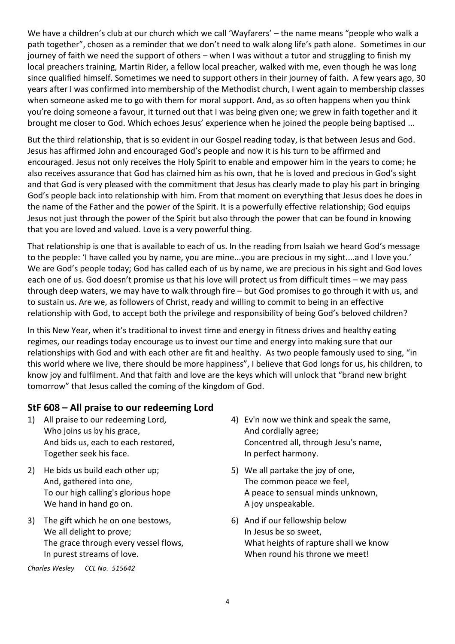We have a children's club at our church which we call 'Wayfarers' – the name means "people who walk a path together", chosen as a reminder that we don't need to walk along life's path alone. Sometimes in our journey of faith we need the support of others – when I was without a tutor and struggling to finish my local preachers training, Martin Rider, a fellow local preacher, walked with me, even though he was long since qualified himself. Sometimes we need to support others in their journey of faith. A few years ago, 30 years after I was confirmed into membership of the Methodist church, I went again to membership classes when someone asked me to go with them for moral support. And, as so often happens when you think you're doing someone a favour, it turned out that I was being given one; we grew in faith together and it brought me closer to God. Which echoes Jesus' experience when he joined the people being baptised ...

But the third relationship, that is so evident in our Gospel reading today, is that between Jesus and God. Jesus has affirmed John and encouraged God's people and now it is his turn to be affirmed and encouraged. Jesus not only receives the Holy Spirit to enable and empower him in the years to come; he also receives assurance that God has claimed him as his own, that he is loved and precious in God's sight and that God is very pleased with the commitment that Jesus has clearly made to play his part in bringing God's people back into relationship with him. From that moment on everything that Jesus does he does in the name of the Father and the power of the Spirit. It is a powerfully effective relationship; God equips Jesus not just through the power of the Spirit but also through the power that can be found in knowing that you are loved and valued. Love is a very powerful thing.

That relationship is one that is available to each of us. In the reading from Isaiah we heard God's message to the people: 'I have called you by name, you are mine...you are precious in my sight....and I love you.' We are God's people today; God has called each of us by name, we are precious in his sight and God loves each one of us. God doesn't promise us that his love will protect us from difficult times – we may pass through deep waters, we may have to walk through fire – but God promises to go through it with us, and to sustain us. Are we, as followers of Christ, ready and willing to commit to being in an effective relationship with God, to accept both the privilege and responsibility of being God's beloved children?

In this New Year, when it's traditional to invest time and energy in fitness drives and healthy eating regimes, our readings today encourage us to invest our time and energy into making sure that our relationships with God and with each other are fit and healthy. As two people famously used to sing, "in this world where we live, there should be more happiness", I believe that God longs for us, his children, to know joy and fulfilment. And that faith and love are the keys which will unlock that "brand new bright tomorrow" that Jesus called the coming of the kingdom of God.

# **StF 608 – All praise to our redeeming Lord**

- 1) All praise to our redeeming Lord, Who joins us by his grace, And bids us, each to each restored, Together seek his face.
- 2) He bids us build each other up; And, gathered into one, To our high calling's glorious hope We hand in hand go on.
- 3) The gift which he on one bestows, We all delight to prove; The grace through every vessel flows, In purest streams of love.

*Charles Wesley CCL No. 515642*

- 4) Ev'n now we think and speak the same, And cordially agree; Concentred all, through Jesu's name, In perfect harmony.
- 5) We all partake the joy of one, The common peace we feel, A peace to sensual minds unknown, A joy unspeakable.
- 6) And if our fellowship below In Jesus be so sweet, What heights of rapture shall we know When round his throne we meet!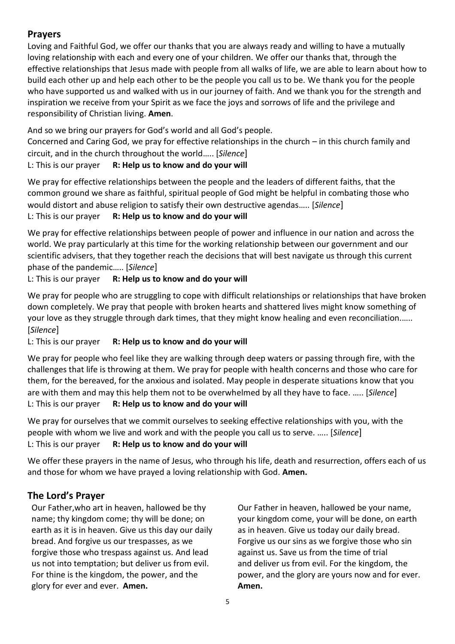# **Prayers**

Loving and Faithful God, we offer our thanks that you are always ready and willing to have a mutually loving relationship with each and every one of your children. We offer our thanks that, through the effective relationships that Jesus made with people from all walks of life, we are able to learn about how to build each other up and help each other to be the people you call us to be. We thank you for the people who have supported us and walked with us in our journey of faith. And we thank you for the strength and inspiration we receive from your Spirit as we face the joys and sorrows of life and the privilege and responsibility of Christian living. **Amen**.

And so we bring our prayers for God's world and all God's people.

Concerned and Caring God, we pray for effective relationships in the church – in this church family and circuit, and in the church throughout the world….. [*Silence*]

#### L: This is our prayer **R: Help us to know and do your will**

We pray for effective relationships between the people and the leaders of different faiths, that the common ground we share as faithful, spiritual people of God might be helpful in combating those who would distort and abuse religion to satisfy their own destructive agendas….. [*Silence*] L: This is our prayer **R: Help us to know and do your will**

We pray for effective relationships between people of power and influence in our nation and across the world. We pray particularly at this time for the working relationship between our government and our scientific advisers, that they together reach the decisions that will best navigate us through this current phase of the pandemic….. [*Silence*]

L: This is our prayer **R: Help us to know and do your will**

We pray for people who are struggling to cope with difficult relationships or relationships that have broken down completely. We pray that people with broken hearts and shattered lives might know something of your love as they struggle through dark times, that they might know healing and even reconciliation.….. [*Silence*]

L: This is our prayer **R: Help us to know and do your will**

We pray for people who feel like they are walking through deep waters or passing through fire, with the challenges that life is throwing at them. We pray for people with health concerns and those who care for them, for the bereaved, for the anxious and isolated. May people in desperate situations know that you are with them and may this help them not to be overwhelmed by all they have to face. ….. [*Silence*] L: This is our prayer **R: Help us to know and do your will**

We pray for ourselves that we commit ourselves to seeking effective relationships with you, with the people with whom we live and work and with the people you call us to serve. ….. [*Silence*] L: This is our prayer **R: Help us to know and do your will**

We offer these prayers in the name of Jesus, who through his life, death and resurrection, offers each of us and those for whom we have prayed a loving relationship with God. **Amen.**

# **The Lord's Prayer**

Our Father,who art in heaven, hallowed be thy name; thy kingdom come; thy will be done; on earth as it is in heaven. Give us this day our daily bread. And forgive us our trespasses, as we forgive those who trespass against us. And lead us not into temptation; but deliver us from evil. For thine is the kingdom, the power, and the glory for ever and ever. **Amen.**

Our Father in heaven, hallowed be your name, your kingdom come, your will be done, on earth as in heaven. Give us today our daily bread. Forgive us our sins as we forgive those who sin against us. Save us from the time of trial and deliver us from evil. For the kingdom, the power, and the glory are yours now and for ever. **Amen.**